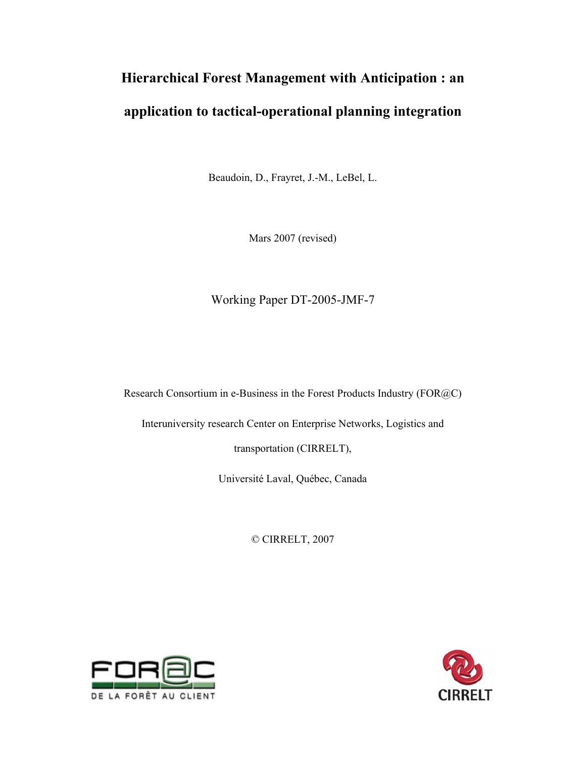# **Hierarchical Forest Management with Anticipation : an application to tactical-operational planning integration**

Beaudoin, D., Frayret, J.-M., LeBel, L.

Mars 2007 (revised)

Working Paper DT-2005-JMF-7

Research Consortium in e-Business in the Forest Products Industry (FOR@C)

Interuniversity research Center on Enterprise Networks, Logistics and

transportation (CIRRELT),

Université Laval, Québec, Canada

© CIRRELT, 2007



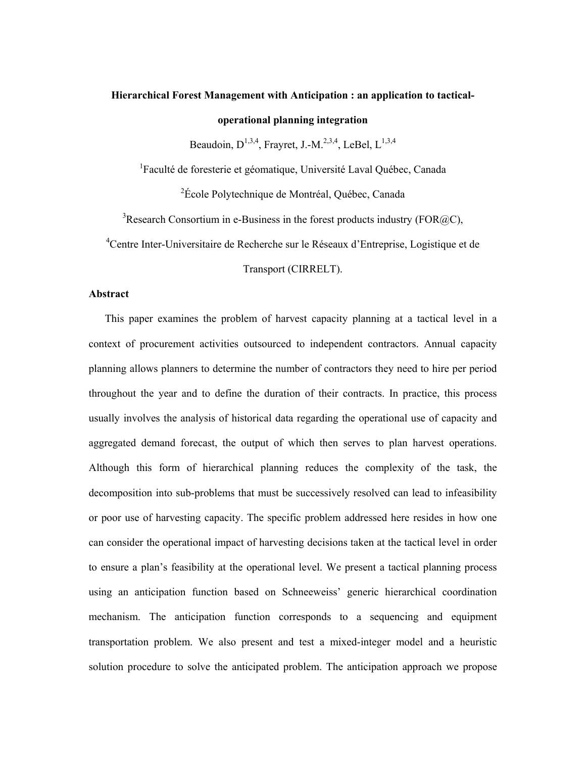## **Hierarchical Forest Management with Anticipation : an application to tacticaloperational planning integration**

Beaudoin,  $D^{1,3,4}$ , Fravret, J.-M.<sup>2,3,4</sup>, LeBel,  $L^{1,3,4}$ 

<sup>1</sup>Faculté de foresterie et géomatique, Université Laval Québec, Canada

<sup>2</sup>École Polytechnique de Montréal, Québec, Canada

<sup>3</sup>Research Consortium in e-Business in the forest products industry (FOR@C),

4 Centre Inter-Universitaire de Recherche sur le Réseaux d'Entreprise, Logistique et de

Transport (CIRRELT).

#### **Abstract**

This paper examines the problem of harvest capacity planning at a tactical level in a context of procurement activities outsourced to independent contractors. Annual capacity planning allows planners to determine the number of contractors they need to hire per period throughout the year and to define the duration of their contracts. In practice, this process usually involves the analysis of historical data regarding the operational use of capacity and aggregated demand forecast, the output of which then serves to plan harvest operations. Although this form of hierarchical planning reduces the complexity of the task, the decomposition into sub-problems that must be successively resolved can lead to infeasibility or poor use of harvesting capacity. The specific problem addressed here resides in how one can consider the operational impact of harvesting decisions taken at the tactical level in order to ensure a plan's feasibility at the operational level. We present a tactical planning process using an anticipation function based on Schneeweiss' generic hierarchical coordination mechanism. The anticipation function corresponds to a sequencing and equipment transportation problem. We also present and test a mixed-integer model and a heuristic solution procedure to solve the anticipated problem. The anticipation approach we propose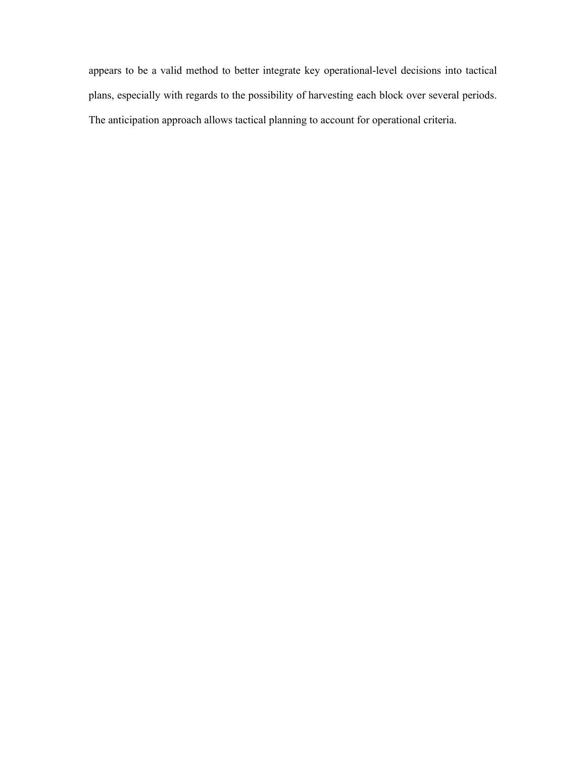appears to be a valid method to better integrate key operational-level decisions into tactical plans, especially with regards to the possibility of harvesting each block over several periods. The anticipation approach allows tactical planning to account for operational criteria.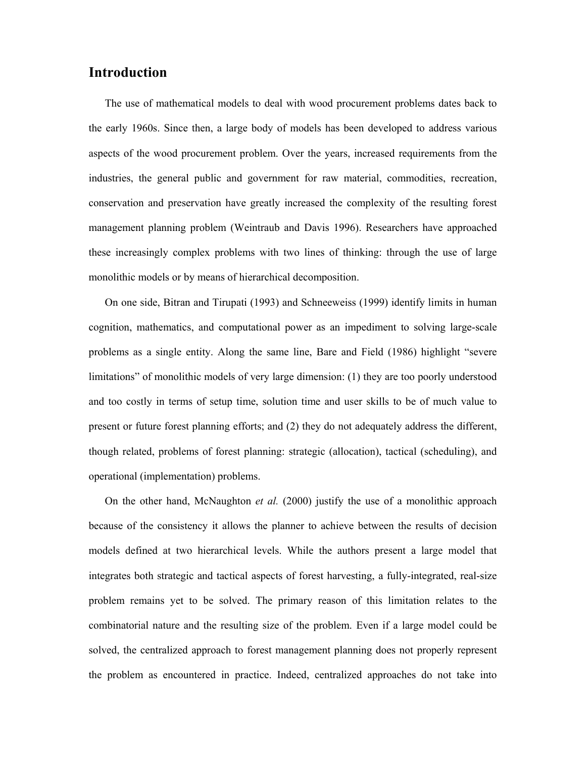## **Introduction**

The use of mathematical models to deal with wood procurement problems dates back to the early 1960s. Since then, a large body of models has been developed to address various aspects of the wood procurement problem. Over the years, increased requirements from the industries, the general public and government for raw material, commodities, recreation, conservation and preservation have greatly increased the complexity of the resulting forest management planning problem (Weintraub and Davis 1996). Researchers have approached these increasingly complex problems with two lines of thinking: through the use of large monolithic models or by means of hierarchical decomposition.

On one side, Bitran and Tirupati (1993) and Schneeweiss (1999) identify limits in human cognition, mathematics, and computational power as an impediment to solving large-scale problems as a single entity. Along the same line, Bare and Field (1986) highlight "severe limitations" of monolithic models of very large dimension: (1) they are too poorly understood and too costly in terms of setup time, solution time and user skills to be of much value to present or future forest planning efforts; and (2) they do not adequately address the different, though related, problems of forest planning: strategic (allocation), tactical (scheduling), and operational (implementation) problems.

On the other hand, McNaughton *et al.* (2000) justify the use of a monolithic approach because of the consistency it allows the planner to achieve between the results of decision models defined at two hierarchical levels. While the authors present a large model that integrates both strategic and tactical aspects of forest harvesting, a fully-integrated, real-size problem remains yet to be solved. The primary reason of this limitation relates to the combinatorial nature and the resulting size of the problem. Even if a large model could be solved, the centralized approach to forest management planning does not properly represent the problem as encountered in practice. Indeed, centralized approaches do not take into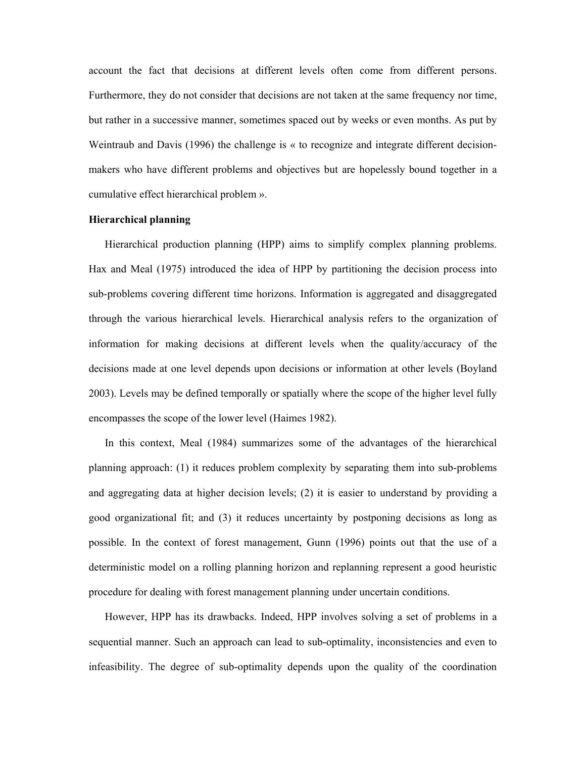account the fact that decisions at different levels often come from different persons. Furthermore, they do not consider that decisions are not taken at the same frequency nor time, but rather in a successive manner, sometimes spaced out by weeks or even months. As put by Weintraub and Davis (1996) the challenge is « to recognize and integrate different decisionmakers who have different problems and objectives but are hopelessly bound together in a cumulative effect hierarchical problem ».

#### **Hierarchical planning**

Hierarchical production planning (HPP) aims to simplify complex planning problems. Hax and Meal (1975) introduced the idea of HPP by partitioning the decision process into sub-problems covering different time horizons. Information is aggregated and disaggregated through the various hierarchical levels. Hierarchical analysis refers to the organization of information for making decisions at different levels when the quality/accuracy of the decisions made at one level depends upon decisions or information at other levels (Boyland 2003). Levels may be defined temporally or spatially where the scope of the higher level fully encompasses the scope of the lower level (Haimes 1982).

In this context, Meal (1984) summarizes some of the advantages of the hierarchical planning approach: (1) it reduces problem complexity by separating them into sub-problems and aggregating data at higher decision levels; (2) it is easier to understand by providing a good organizational fit; and (3) it reduces uncertainty by postponing decisions as long as possible. In the context of forest management, Gunn (1996) points out that the use of a deterministic model on a rolling planning horizon and replanning represent a good heuristic procedure for dealing with forest management planning under uncertain conditions.

However, HPP has its drawbacks. Indeed, HPP involves solving a set of problems in a sequential manner. Such an approach can lead to sub-optimality, inconsistencies and even to infeasibility. The degree of sub-optimality depends upon the quality of the coordination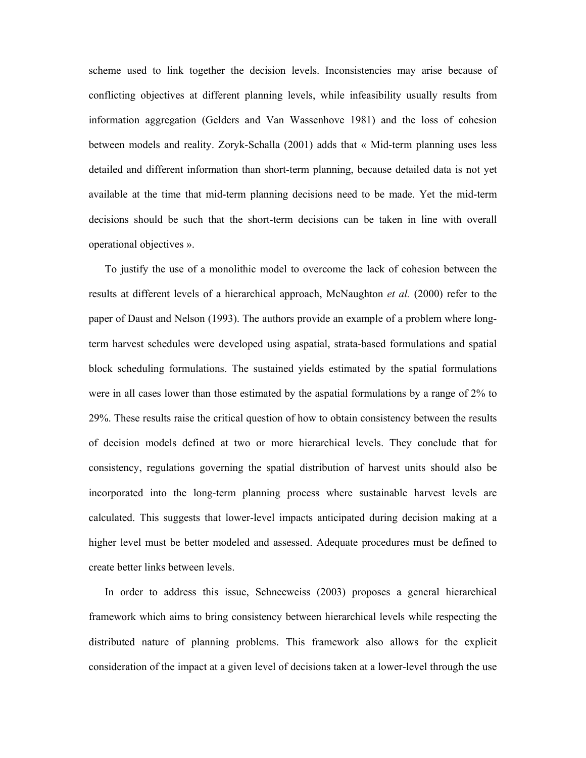scheme used to link together the decision levels. Inconsistencies may arise because of conflicting objectives at different planning levels, while infeasibility usually results from information aggregation (Gelders and Van Wassenhove 1981) and the loss of cohesion between models and reality. Zoryk-Schalla (2001) adds that « Mid-term planning uses less detailed and different information than short-term planning, because detailed data is not yet available at the time that mid-term planning decisions need to be made. Yet the mid-term decisions should be such that the short-term decisions can be taken in line with overall operational objectives ».

To justify the use of a monolithic model to overcome the lack of cohesion between the results at different levels of a hierarchical approach, McNaughton *et al.* (2000) refer to the paper of Daust and Nelson (1993). The authors provide an example of a problem where longterm harvest schedules were developed using aspatial, strata-based formulations and spatial block scheduling formulations. The sustained yields estimated by the spatial formulations were in all cases lower than those estimated by the aspatial formulations by a range of 2% to 29%. These results raise the critical question of how to obtain consistency between the results of decision models defined at two or more hierarchical levels. They conclude that for consistency, regulations governing the spatial distribution of harvest units should also be incorporated into the long-term planning process where sustainable harvest levels are calculated. This suggests that lower-level impacts anticipated during decision making at a higher level must be better modeled and assessed. Adequate procedures must be defined to create better links between levels.

In order to address this issue, Schneeweiss (2003) proposes a general hierarchical framework which aims to bring consistency between hierarchical levels while respecting the distributed nature of planning problems. This framework also allows for the explicit consideration of the impact at a given level of decisions taken at a lower-level through the use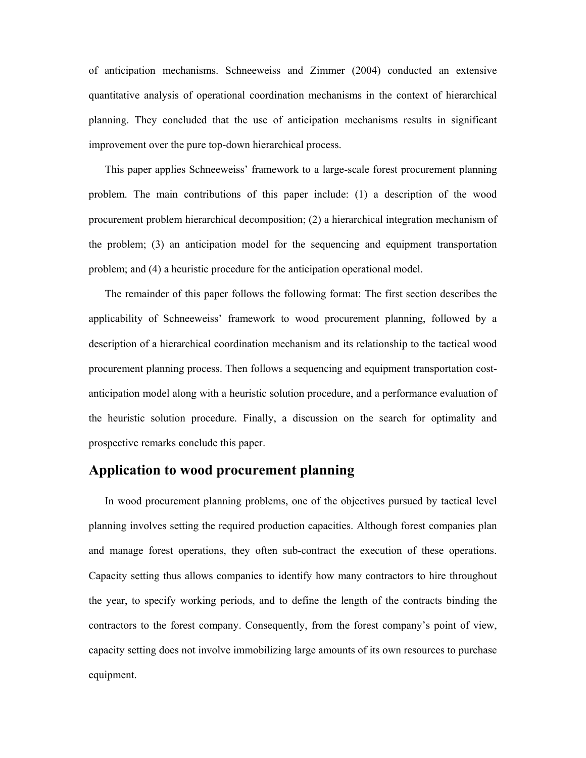of anticipation mechanisms. Schneeweiss and Zimmer (2004) conducted an extensive quantitative analysis of operational coordination mechanisms in the context of hierarchical planning. They concluded that the use of anticipation mechanisms results in significant improvement over the pure top-down hierarchical process.

This paper applies Schneeweiss' framework to a large-scale forest procurement planning problem. The main contributions of this paper include: (1) a description of the wood procurement problem hierarchical decomposition; (2) a hierarchical integration mechanism of the problem; (3) an anticipation model for the sequencing and equipment transportation problem; and (4) a heuristic procedure for the anticipation operational model.

The remainder of this paper follows the following format: The first section describes the applicability of Schneeweiss' framework to wood procurement planning, followed by a description of a hierarchical coordination mechanism and its relationship to the tactical wood procurement planning process. Then follows a sequencing and equipment transportation costanticipation model along with a heuristic solution procedure, and a performance evaluation of the heuristic solution procedure. Finally, a discussion on the search for optimality and prospective remarks conclude this paper.

## **Application to wood procurement planning**

In wood procurement planning problems, one of the objectives pursued by tactical level planning involves setting the required production capacities. Although forest companies plan and manage forest operations, they often sub-contract the execution of these operations. Capacity setting thus allows companies to identify how many contractors to hire throughout the year, to specify working periods, and to define the length of the contracts binding the contractors to the forest company. Consequently, from the forest company's point of view, capacity setting does not involve immobilizing large amounts of its own resources to purchase equipment.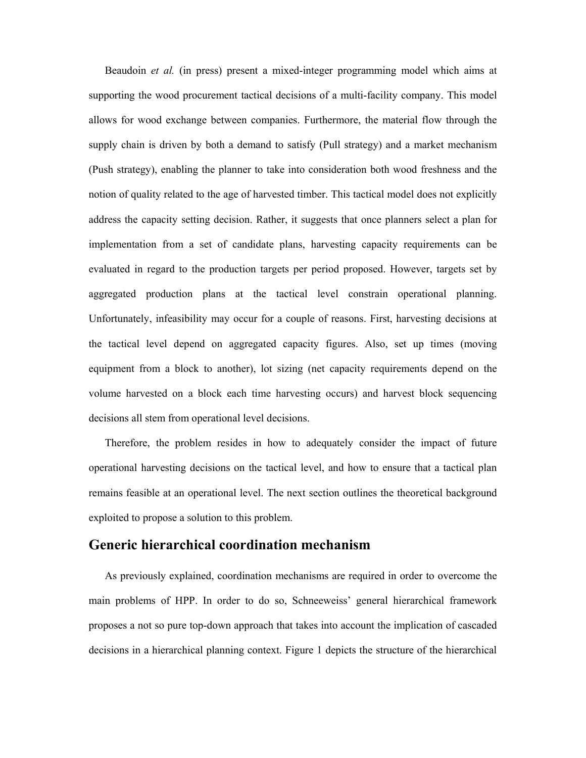Beaudoin *et al.* (in press) present a mixed-integer programming model which aims at supporting the wood procurement tactical decisions of a multi-facility company. This model allows for wood exchange between companies. Furthermore, the material flow through the supply chain is driven by both a demand to satisfy (Pull strategy) and a market mechanism (Push strategy), enabling the planner to take into consideration both wood freshness and the notion of quality related to the age of harvested timber. This tactical model does not explicitly address the capacity setting decision. Rather, it suggests that once planners select a plan for implementation from a set of candidate plans, harvesting capacity requirements can be evaluated in regard to the production targets per period proposed. However, targets set by aggregated production plans at the tactical level constrain operational planning. Unfortunately, infeasibility may occur for a couple of reasons. First, harvesting decisions at the tactical level depend on aggregated capacity figures. Also, set up times (moving equipment from a block to another), lot sizing (net capacity requirements depend on the volume harvested on a block each time harvesting occurs) and harvest block sequencing decisions all stem from operational level decisions.

Therefore, the problem resides in how to adequately consider the impact of future operational harvesting decisions on the tactical level, and how to ensure that a tactical plan remains feasible at an operational level. The next section outlines the theoretical background exploited to propose a solution to this problem.

## **Generic hierarchical coordination mechanism**

As previously explained, coordination mechanisms are required in order to overcome the main problems of HPP. In order to do so, Schneeweiss' general hierarchical framework proposes a not so pure top-down approach that takes into account the implication of cascaded decisions in a hierarchical planning context. Figure 1 depicts the structure of the hierarchical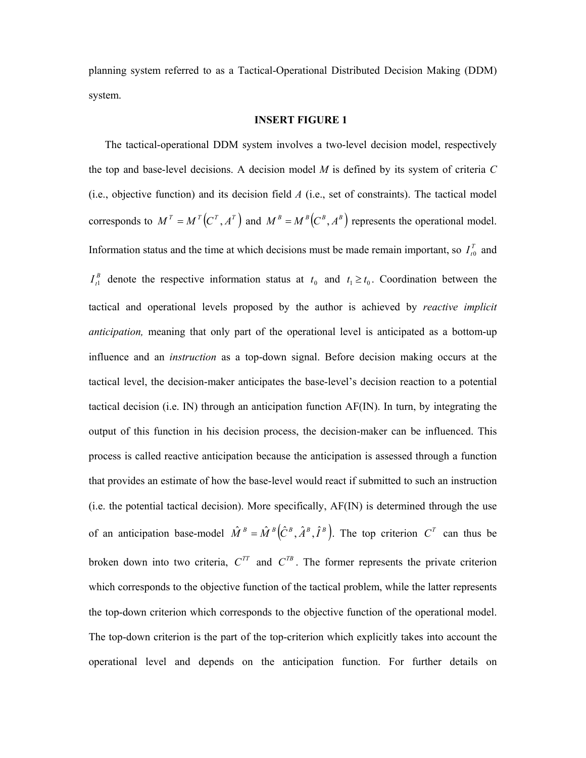planning system referred to as a Tactical-Operational Distributed Decision Making (DDM) system.

#### **INSERT FIGURE 1**

The tactical-operational DDM system involves a two-level decision model, respectively the top and base-level decisions. A decision model *M* is defined by its system of criteria *C* (i.e., objective function) and its decision field *A* (i.e., set of constraints). The tactical model corresponds to  $M^T = M^T(C^T, A^T)$  and  $M^B = M^B(C^B, A^B)$  represents the operational model. Information status and the time at which decisions must be made remain important, so  $I_{i0}^T$  and  $I_{t_1}^B$  denote the respective information status at  $t_0$  and  $t_1 \ge t_0$ . Coordination between the tactical and operational levels proposed by the author is achieved by *reactive implicit anticipation,* meaning that only part of the operational level is anticipated as a bottom-up influence and an *instruction* as a top-down signal. Before decision making occurs at the tactical level, the decision-maker anticipates the base-level's decision reaction to a potential tactical decision (i.e. IN) through an anticipation function AF(IN). In turn, by integrating the output of this function in his decision process, the decision-maker can be influenced. This process is called reactive anticipation because the anticipation is assessed through a function that provides an estimate of how the base-level would react if submitted to such an instruction (i.e. the potential tactical decision). More specifically, AF(IN) is determined through the use of an anticipation base-model  $\hat{M}^B = \hat{M}^B(\hat{C}^B, \hat{A}^B, \hat{I}^B)$ . The top criterion  $C^T$  can thus be broken down into two criteria,  $C^{TT}$  and  $C^{TB}$ . The former represents the private criterion which corresponds to the objective function of the tactical problem, while the latter represents the top-down criterion which corresponds to the objective function of the operational model. The top-down criterion is the part of the top-criterion which explicitly takes into account the operational level and depends on the anticipation function. For further details on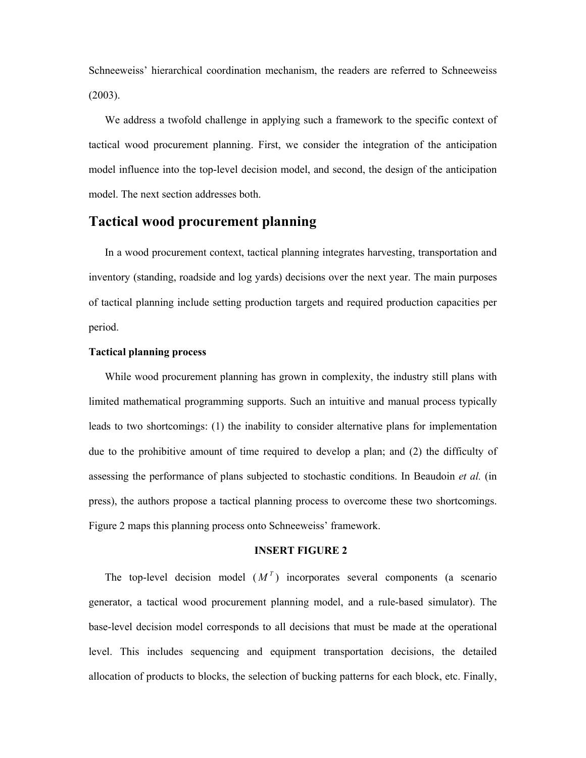Schneeweiss' hierarchical coordination mechanism, the readers are referred to Schneeweiss (2003).

We address a twofold challenge in applying such a framework to the specific context of tactical wood procurement planning. First, we consider the integration of the anticipation model influence into the top-level decision model, and second, the design of the anticipation model. The next section addresses both.

## **Tactical wood procurement planning**

In a wood procurement context, tactical planning integrates harvesting, transportation and inventory (standing, roadside and log yards) decisions over the next year. The main purposes of tactical planning include setting production targets and required production capacities per period.

#### **Tactical planning process**

While wood procurement planning has grown in complexity, the industry still plans with limited mathematical programming supports. Such an intuitive and manual process typically leads to two shortcomings: (1) the inability to consider alternative plans for implementation due to the prohibitive amount of time required to develop a plan; and (2) the difficulty of assessing the performance of plans subjected to stochastic conditions. In Beaudoin *et al.* (in press), the authors propose a tactical planning process to overcome these two shortcomings. Figure 2 maps this planning process onto Schneeweiss' framework.

#### **INSERT FIGURE 2**

The top-level decision model  $(M<sup>T</sup>)$  incorporates several components (a scenario generator, a tactical wood procurement planning model, and a rule-based simulator). The base-level decision model corresponds to all decisions that must be made at the operational level. This includes sequencing and equipment transportation decisions, the detailed allocation of products to blocks, the selection of bucking patterns for each block, etc. Finally,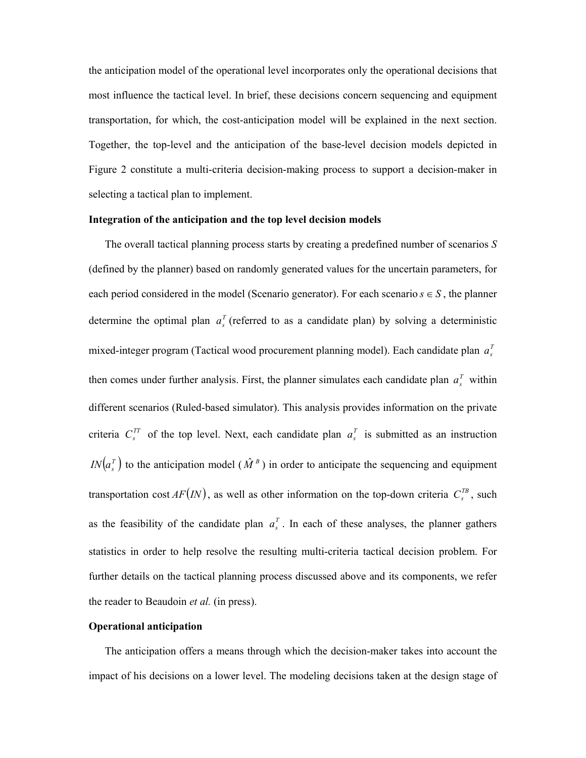the anticipation model of the operational level incorporates only the operational decisions that most influence the tactical level. In brief, these decisions concern sequencing and equipment transportation, for which, the cost-anticipation model will be explained in the next section. Together, the top-level and the anticipation of the base-level decision models depicted in Figure 2 constitute a multi-criteria decision-making process to support a decision-maker in selecting a tactical plan to implement.

#### **Integration of the anticipation and the top level decision models**

The overall tactical planning process starts by creating a predefined number of scenarios *S* (defined by the planner) based on randomly generated values for the uncertain parameters, for each period considered in the model (Scenario generator). For each scenario  $s \in S$ , the planner determine the optimal plan  $a<sub>s</sub><sup>T</sup>$  (referred to as a candidate plan) by solving a deterministic mixed-integer program (Tactical wood procurement planning model). Each candidate plan  $a_s^T$ then comes under further analysis. First, the planner simulates each candidate plan  $a_s^T$  within different scenarios (Ruled-based simulator). This analysis provides information on the private criteria  $C_s^{TT}$  of the top level. Next, each candidate plan  $a_s^T$  is submitted as an instruction  $IN(a<sub>s</sub><sup>T</sup>)$  to the anticipation model ( $\hat{M}^B$ ) in order to anticipate the sequencing and equipment transportation cost  $AF($ *IN* $)$ , as well as other information on the top-down criteria  $C_s^{^{TB}}$ , such as the feasibility of the candidate plan  $a_s^T$ . In each of these analyses, the planner gathers statistics in order to help resolve the resulting multi-criteria tactical decision problem. For further details on the tactical planning process discussed above and its components, we refer the reader to Beaudoin *et al.* (in press).

#### **Operational anticipation**

The anticipation offers a means through which the decision-maker takes into account the impact of his decisions on a lower level. The modeling decisions taken at the design stage of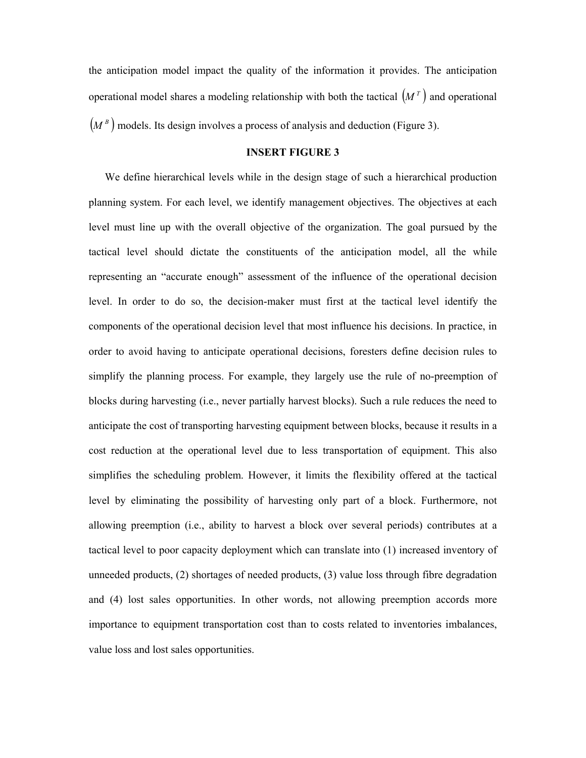the anticipation model impact the quality of the information it provides. The anticipation operational model shares a modeling relationship with both the tactical  $(M<sup>T</sup>)$  and operational  $(M^B)$  models. Its design involves a process of analysis and deduction (Figure 3).

#### **INSERT FIGURE 3**

We define hierarchical levels while in the design stage of such a hierarchical production planning system. For each level, we identify management objectives. The objectives at each level must line up with the overall objective of the organization. The goal pursued by the tactical level should dictate the constituents of the anticipation model, all the while representing an "accurate enough" assessment of the influence of the operational decision level. In order to do so, the decision-maker must first at the tactical level identify the components of the operational decision level that most influence his decisions. In practice, in order to avoid having to anticipate operational decisions, foresters define decision rules to simplify the planning process. For example, they largely use the rule of no-preemption of blocks during harvesting (i.e., never partially harvest blocks). Such a rule reduces the need to anticipate the cost of transporting harvesting equipment between blocks, because it results in a cost reduction at the operational level due to less transportation of equipment. This also simplifies the scheduling problem. However, it limits the flexibility offered at the tactical level by eliminating the possibility of harvesting only part of a block. Furthermore, not allowing preemption (i.e., ability to harvest a block over several periods) contributes at a tactical level to poor capacity deployment which can translate into (1) increased inventory of unneeded products, (2) shortages of needed products, (3) value loss through fibre degradation and (4) lost sales opportunities. In other words, not allowing preemption accords more importance to equipment transportation cost than to costs related to inventories imbalances, value loss and lost sales opportunities.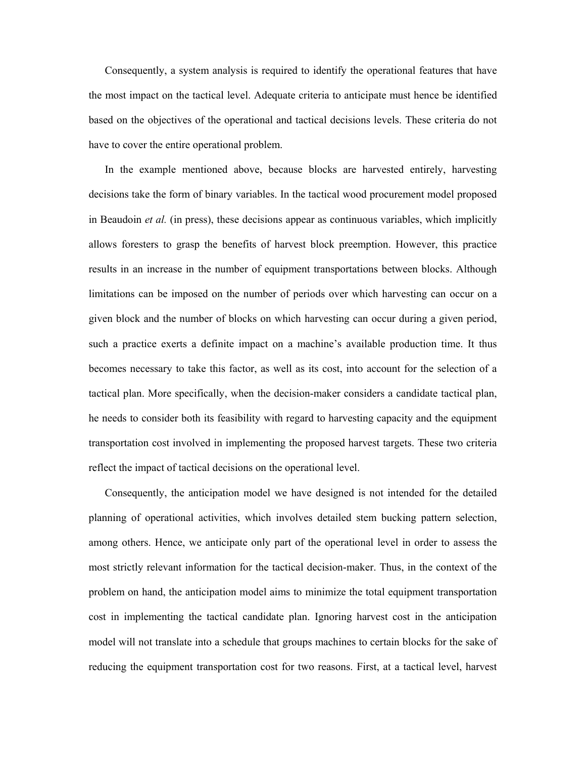Consequently, a system analysis is required to identify the operational features that have the most impact on the tactical level. Adequate criteria to anticipate must hence be identified based on the objectives of the operational and tactical decisions levels. These criteria do not have to cover the entire operational problem.

In the example mentioned above, because blocks are harvested entirely, harvesting decisions take the form of binary variables. In the tactical wood procurement model proposed in Beaudoin *et al.* (in press), these decisions appear as continuous variables, which implicitly allows foresters to grasp the benefits of harvest block preemption. However, this practice results in an increase in the number of equipment transportations between blocks. Although limitations can be imposed on the number of periods over which harvesting can occur on a given block and the number of blocks on which harvesting can occur during a given period, such a practice exerts a definite impact on a machine's available production time. It thus becomes necessary to take this factor, as well as its cost, into account for the selection of a tactical plan. More specifically, when the decision-maker considers a candidate tactical plan, he needs to consider both its feasibility with regard to harvesting capacity and the equipment transportation cost involved in implementing the proposed harvest targets. These two criteria reflect the impact of tactical decisions on the operational level.

Consequently, the anticipation model we have designed is not intended for the detailed planning of operational activities, which involves detailed stem bucking pattern selection, among others. Hence, we anticipate only part of the operational level in order to assess the most strictly relevant information for the tactical decision-maker. Thus, in the context of the problem on hand, the anticipation model aims to minimize the total equipment transportation cost in implementing the tactical candidate plan. Ignoring harvest cost in the anticipation model will not translate into a schedule that groups machines to certain blocks for the sake of reducing the equipment transportation cost for two reasons. First, at a tactical level, harvest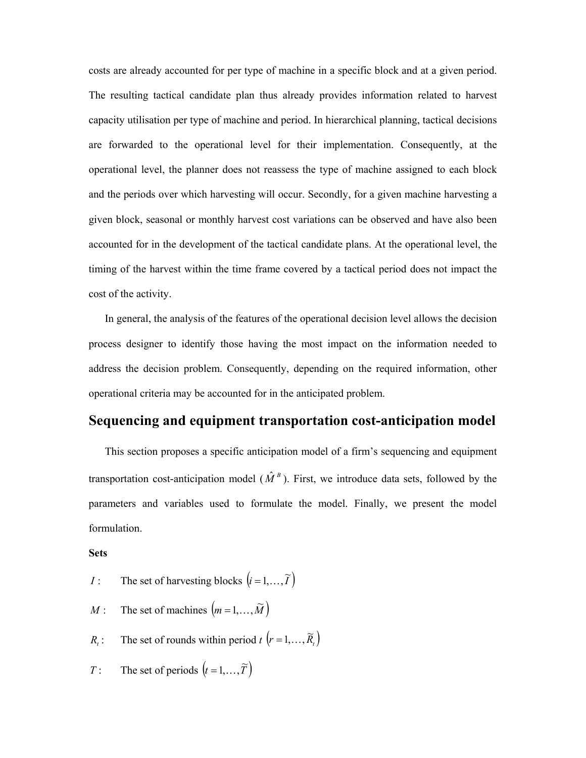costs are already accounted for per type of machine in a specific block and at a given period. The resulting tactical candidate plan thus already provides information related to harvest capacity utilisation per type of machine and period. In hierarchical planning, tactical decisions are forwarded to the operational level for their implementation. Consequently, at the operational level, the planner does not reassess the type of machine assigned to each block and the periods over which harvesting will occur. Secondly, for a given machine harvesting a given block, seasonal or monthly harvest cost variations can be observed and have also been accounted for in the development of the tactical candidate plans. At the operational level, the timing of the harvest within the time frame covered by a tactical period does not impact the cost of the activity.

In general, the analysis of the features of the operational decision level allows the decision process designer to identify those having the most impact on the information needed to address the decision problem. Consequently, depending on the required information, other operational criteria may be accounted for in the anticipated problem.

## **Sequencing and equipment transportation cost-anticipation model**

This section proposes a specific anticipation model of a firm's sequencing and equipment transportation cost-anticipation model ( $\hat{M}^B$ ). First, we introduce data sets, followed by the parameters and variables used to formulate the model. Finally, we present the model formulation.

#### **Sets**

- *I* : The set of harvesting blocks  $(i = 1, ..., \tilde{T})$
- *M* : The set of machines  $(m = 1, ..., \tilde{M})$
- *R<sub>t</sub>*: The set of rounds within period  $t$   $(r = 1, ..., \tilde{R}_r)$
- *T* : The set of periods  $(t = 1, ..., \tilde{T})$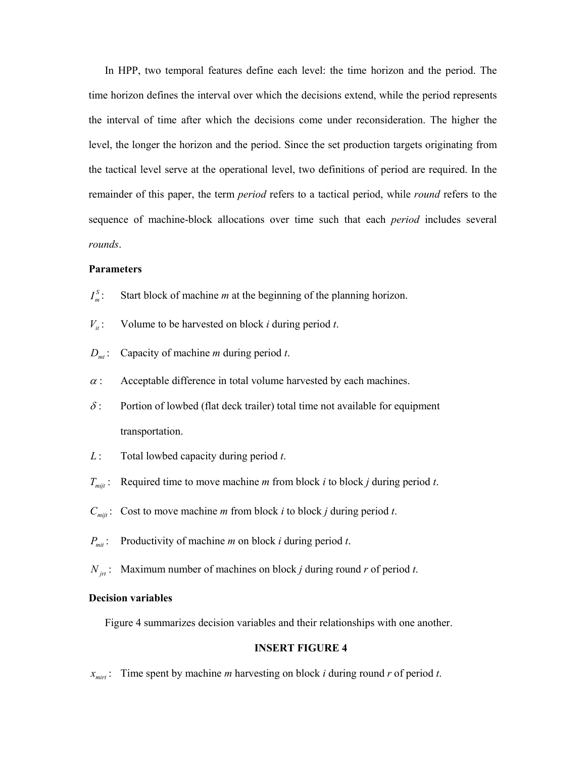In HPP, two temporal features define each level: the time horizon and the period. The time horizon defines the interval over which the decisions extend, while the period represents the interval of time after which the decisions come under reconsideration. The higher the level, the longer the horizon and the period. Since the set production targets originating from the tactical level serve at the operational level, two definitions of period are required. In the remainder of this paper, the term *period* refers to a tactical period, while *round* refers to the sequence of machine-block allocations over time such that each *period* includes several *rounds*.

#### **Parameters**

- $I_m^S$ : Start block of machine *m* at the beginning of the planning horizon.
- $V_{it}$ : Volume to be harvested on block *i* during period *t*.
- *Dmt* : Capacity of machine *m* during period *t*.
- $\alpha$  : Acceptable difference in total volume harvested by each machines.
- $\delta$ : Portion of lowbed (flat deck trailer) total time not available for equipment transportation.
- *L* : Total lowbed capacity during period *t*.
- *T<sub>mijt</sub>* : Required time to move machine *m* from block *i* to block *j* during period *t*.
- *C<sub>mijt</sub>*: Cost to move machine *m* from block *i* to block *j* during period *t*.
- *Pmit* : Productivity of machine *m* on block *i* during period *t*.
- *N*<sub>*in*</sub>: Maximum number of machines on block *j* during round *r* of period *t*.

#### **Decision variables**

Figure 4 summarizes decision variables and their relationships with one another.

#### **INSERT FIGURE 4**

 $x_{\text{mirt}}$ : Time spent by machine *m* harvesting on block *i* during round *r* of period *t*.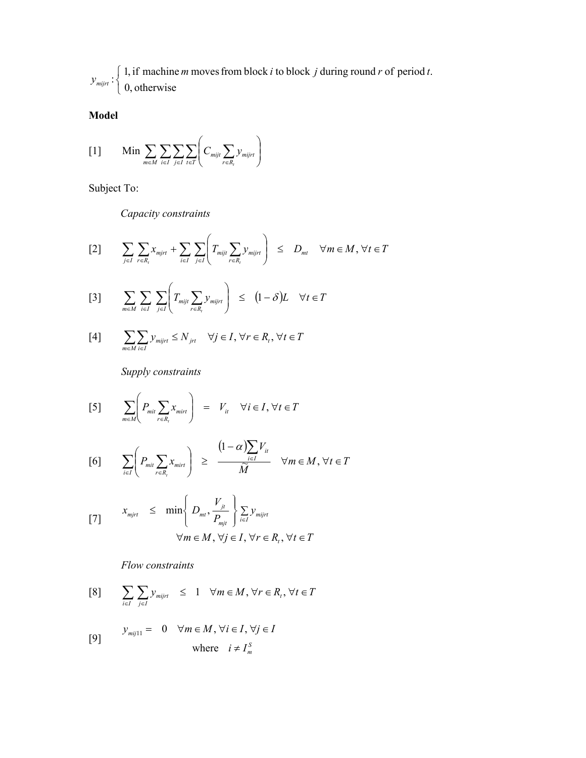*mijrt y* :  $\overline{\mathcal{L}}$ ⇃  $\left\{ \right.$ 0, otherwise 1, if machine *m* movesfrom block *i* to block *j* during round *r* of period *t*.

## **Model**

$$
[1] \qquad \text{Min} \sum_{m \in M} \sum_{i \in I} \sum_{j \in I} \sum_{t \in T} \left( C_{mijt} \sum_{r \in R_t} y_{mijrt} \right)
$$

Subject To:

*Capacity constraints* 

$$
[2] \qquad \sum_{j \in I} \sum_{r \in R_t} x_{mjr} + \sum_{i \in I} \sum_{j \in I} \left( T_{mijt} \sum_{r \in R_t} y_{mijrt} \right) \leq D_{mt} \quad \forall m \in M, \forall t \in T
$$

$$
[3] \qquad \sum_{m \in M} \sum_{i \in I} \sum_{j \in I} \left( T_{mijt} \sum_{r \in R_t} y_{mijrt} \right) \leq (1 - \delta)L \quad \forall t \in T
$$

$$
[4] \qquad \sum_{m\in M}\sum_{i\in I}\mathcal{Y}_{mijrt}\leq N_{jrt} \quad \forall j\in I,\,\forall r\in R_{_t},\,\forall t\in T
$$

*Supply constraints* 

$$
[5] \qquad \sum_{m \in M} \left( P_{mit} \sum_{r \in R_i} x_{mit} \right) = V_i \quad \forall i \in I, \forall t \in T
$$

$$
[6] \qquad \sum_{i\in I}\left(P_{mit}\sum_{r\in R_i}x_{mit}\right) \geq \frac{(1-\alpha)\sum_{i\in I}V_i}{\widetilde{M}} \quad \forall m\in M, \forall t\in T
$$

$$
x_{mirt} \leq \min \left\{ D_{mt}, \frac{V_{jt}}{P_{mjt}} \right\} \sum_{i \in I} y_{mijrt}
$$
  

$$
\forall m \in M, \forall j \in I, \forall r \in R_t, \forall t \in T
$$

*Flow constraints* 

$$
[8] \qquad \sum_{i \in I} \sum_{j \in I} y_{mijrt} \le 1 \quad \forall m \in M, \forall r \in R_t, \forall t \in T
$$

$$
y_{mij11} = 0 \quad \forall m \in M, \forall i \in I, \forall j \in I
$$

where 
$$
i \neq I_m^S
$$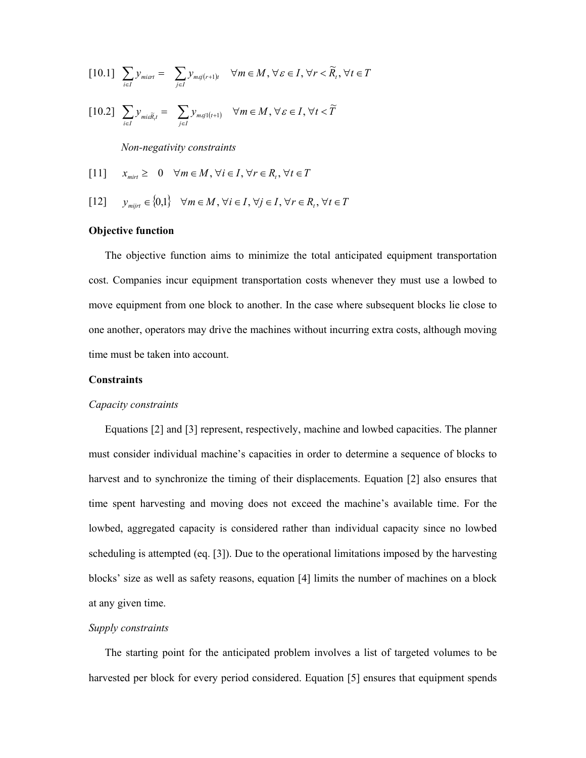$$
[10.1] \sum_{i \in I} y_{\text{min1}} = \sum_{j \in I} y_{\text{maj}(r+1)t} \quad \forall m \in M, \forall \varepsilon \in I, \forall r < \widetilde{R}_t, \forall t \in T
$$

$$
[10.2] \sum_{i \in I} y_{\text{mix}} \widetilde{R}_{i} = \sum_{j \in I} y_{\text{maj}(t+1)} \quad \forall m \in M, \forall \varepsilon \in I, \forall t < \widetilde{T}
$$

*Non-negativity constraints* 

[11] 
$$
x_{\text{mirt}} \geq 0 \quad \forall m \in M, \forall i \in I, \forall r \in R_t, \forall t \in T
$$

[12] 
$$
y_{mijrt} \in \{0,1\} \quad \forall m \in M, \forall i \in I, \forall j \in I, \forall r \in R_t, \forall t \in T
$$

#### **Objective function**

The objective function aims to minimize the total anticipated equipment transportation cost. Companies incur equipment transportation costs whenever they must use a lowbed to move equipment from one block to another. In the case where subsequent blocks lie close to one another, operators may drive the machines without incurring extra costs, although moving time must be taken into account.

#### **Constraints**

#### *Capacity constraints*

Equations [2] and [3] represent, respectively, machine and lowbed capacities. The planner must consider individual machine's capacities in order to determine a sequence of blocks to harvest and to synchronize the timing of their displacements. Equation [2] also ensures that time spent harvesting and moving does not exceed the machine's available time. For the lowbed, aggregated capacity is considered rather than individual capacity since no lowbed scheduling is attempted (eq. [3]). Due to the operational limitations imposed by the harvesting blocks' size as well as safety reasons, equation [4] limits the number of machines on a block at any given time.

#### *Supply constraints*

The starting point for the anticipated problem involves a list of targeted volumes to be harvested per block for every period considered. Equation [5] ensures that equipment spends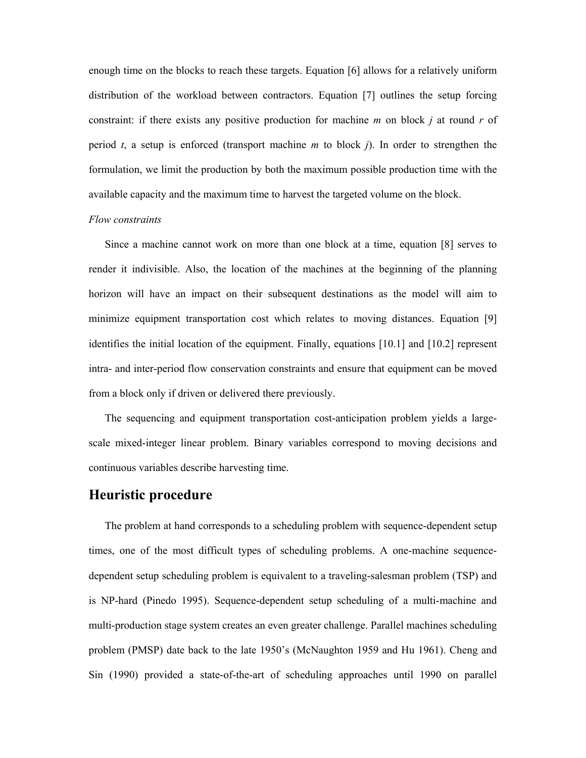enough time on the blocks to reach these targets. Equation [6] allows for a relatively uniform distribution of the workload between contractors. Equation [7] outlines the setup forcing constraint: if there exists any positive production for machine *m* on block *j* at round *r* of period *t*, a setup is enforced (transport machine *m* to block *j*). In order to strengthen the formulation, we limit the production by both the maximum possible production time with the available capacity and the maximum time to harvest the targeted volume on the block.

#### *Flow constraints*

Since a machine cannot work on more than one block at a time, equation [8] serves to render it indivisible. Also, the location of the machines at the beginning of the planning horizon will have an impact on their subsequent destinations as the model will aim to minimize equipment transportation cost which relates to moving distances. Equation [9] identifies the initial location of the equipment. Finally, equations [10.1] and [10.2] represent intra- and inter-period flow conservation constraints and ensure that equipment can be moved from a block only if driven or delivered there previously.

The sequencing and equipment transportation cost-anticipation problem yields a largescale mixed-integer linear problem. Binary variables correspond to moving decisions and continuous variables describe harvesting time.

## **Heuristic procedure**

The problem at hand corresponds to a scheduling problem with sequence-dependent setup times, one of the most difficult types of scheduling problems. A one-machine sequencedependent setup scheduling problem is equivalent to a traveling-salesman problem (TSP) and is NP-hard (Pinedo 1995). Sequence-dependent setup scheduling of a multi-machine and multi-production stage system creates an even greater challenge. Parallel machines scheduling problem (PMSP) date back to the late 1950's (McNaughton 1959 and Hu 1961). Cheng and Sin (1990) provided a state-of-the-art of scheduling approaches until 1990 on parallel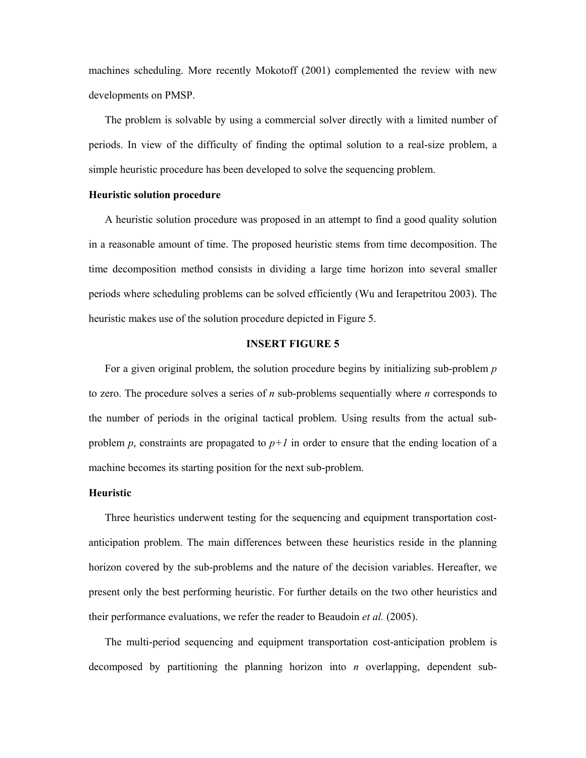machines scheduling. More recently Mokotoff (2001) complemented the review with new developments on PMSP.

The problem is solvable by using a commercial solver directly with a limited number of periods. In view of the difficulty of finding the optimal solution to a real-size problem, a simple heuristic procedure has been developed to solve the sequencing problem.

#### **Heuristic solution procedure**

A heuristic solution procedure was proposed in an attempt to find a good quality solution in a reasonable amount of time. The proposed heuristic stems from time decomposition. The time decomposition method consists in dividing a large time horizon into several smaller periods where scheduling problems can be solved efficiently (Wu and Ierapetritou 2003). The heuristic makes use of the solution procedure depicted in Figure 5.

#### **INSERT FIGURE 5**

For a given original problem, the solution procedure begins by initializing sub-problem *p* to zero. The procedure solves a series of *n* sub-problems sequentially where *n* corresponds to the number of periods in the original tactical problem. Using results from the actual subproblem *p*, constraints are propagated to  $p+1$  in order to ensure that the ending location of a machine becomes its starting position for the next sub-problem.

#### **Heuristic**

Three heuristics underwent testing for the sequencing and equipment transportation costanticipation problem. The main differences between these heuristics reside in the planning horizon covered by the sub-problems and the nature of the decision variables. Hereafter, we present only the best performing heuristic. For further details on the two other heuristics and their performance evaluations, we refer the reader to Beaudoin *et al.* (2005).

The multi-period sequencing and equipment transportation cost-anticipation problem is decomposed by partitioning the planning horizon into *n* overlapping, dependent sub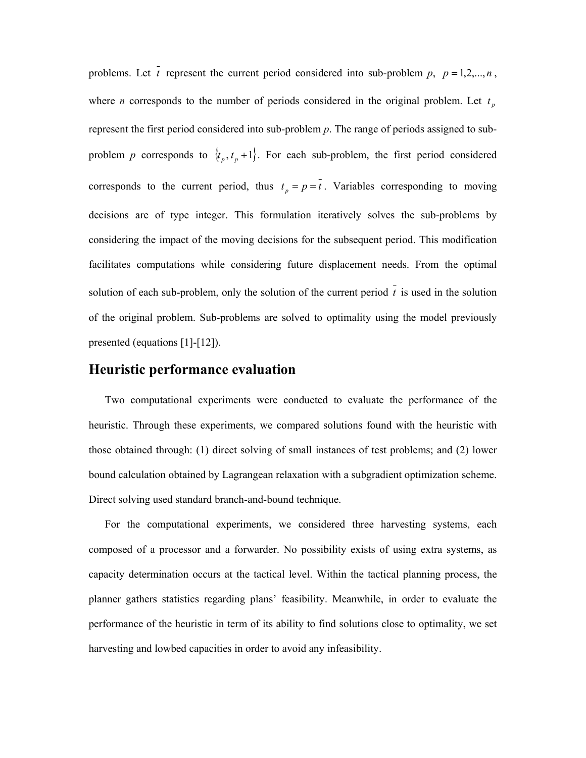problems. Let  $\bar{t}$  represent the current period considered into sub-problem  $p$ ,  $p = 1, 2, ..., n$ , where *n* corresponds to the number of periods considered in the original problem. Let  $t<sub>p</sub>$ represent the first period considered into sub-problem *p*. The range of periods assigned to subproblem *p* corresponds to  $\{t_p, t_p + 1\}$ . For each sub-problem, the first period considered corresponds to the current period, thus  $t_p = p = \overline{t}$ . Variables corresponding to moving decisions are of type integer. This formulation iteratively solves the sub-problems by considering the impact of the moving decisions for the subsequent period. This modification facilitates computations while considering future displacement needs. From the optimal solution of each sub-problem, only the solution of the current period  $\overline{t}$  is used in the solution of the original problem. Sub-problems are solved to optimality using the model previously presented (equations [1]-[12]).

## **Heuristic performance evaluation**

Two computational experiments were conducted to evaluate the performance of the heuristic. Through these experiments, we compared solutions found with the heuristic with those obtained through: (1) direct solving of small instances of test problems; and (2) lower bound calculation obtained by Lagrangean relaxation with a subgradient optimization scheme. Direct solving used standard branch-and-bound technique.

For the computational experiments, we considered three harvesting systems, each composed of a processor and a forwarder. No possibility exists of using extra systems, as capacity determination occurs at the tactical level. Within the tactical planning process, the planner gathers statistics regarding plans' feasibility. Meanwhile, in order to evaluate the performance of the heuristic in term of its ability to find solutions close to optimality, we set harvesting and lowbed capacities in order to avoid any infeasibility.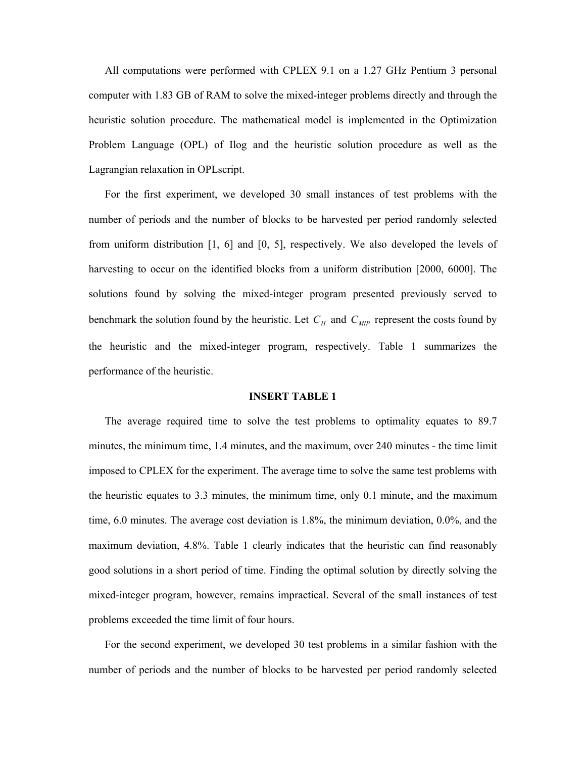All computations were performed with CPLEX 9.1 on a 1.27 GHz Pentium 3 personal computer with 1.83 GB of RAM to solve the mixed-integer problems directly and through the heuristic solution procedure. The mathematical model is implemented in the Optimization Problem Language (OPL) of Ilog and the heuristic solution procedure as well as the Lagrangian relaxation in OPLscript.

For the first experiment, we developed 30 small instances of test problems with the number of periods and the number of blocks to be harvested per period randomly selected from uniform distribution [1, 6] and [0, 5], respectively. We also developed the levels of harvesting to occur on the identified blocks from a uniform distribution [2000, 6000]. The solutions found by solving the mixed-integer program presented previously served to benchmark the solution found by the heuristic. Let  $C_H$  and  $C_{MP}$  represent the costs found by the heuristic and the mixed-integer program, respectively. Table 1 summarizes the performance of the heuristic.

#### **INSERT TABLE 1**

The average required time to solve the test problems to optimality equates to 89.7 minutes, the minimum time, 1.4 minutes, and the maximum, over 240 minutes - the time limit imposed to CPLEX for the experiment. The average time to solve the same test problems with the heuristic equates to 3.3 minutes, the minimum time, only 0.1 minute, and the maximum time, 6.0 minutes. The average cost deviation is 1.8%, the minimum deviation, 0.0%, and the maximum deviation, 4.8%. Table 1 clearly indicates that the heuristic can find reasonably good solutions in a short period of time. Finding the optimal solution by directly solving the mixed-integer program, however, remains impractical. Several of the small instances of test problems exceeded the time limit of four hours.

For the second experiment, we developed 30 test problems in a similar fashion with the number of periods and the number of blocks to be harvested per period randomly selected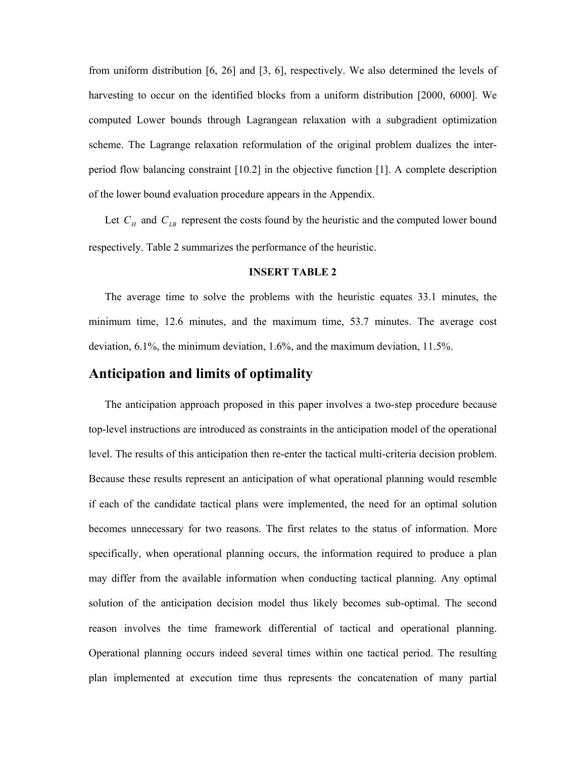from uniform distribution [6, 26] and [3, 6], respectively. We also determined the levels of harvesting to occur on the identified blocks from a uniform distribution [2000, 6000]. We computed Lower bounds through Lagrangean relaxation with a subgradient optimization scheme. The Lagrange relaxation reformulation of the original problem dualizes the interperiod flow balancing constraint [10.2] in the objective function [1]. A complete description of the lower bound evaluation procedure appears in the Appendix.

Let  $C_H$  and  $C_{LB}$  represent the costs found by the heuristic and the computed lower bound respectively. Table 2 summarizes the performance of the heuristic.

#### **INSERT TABLE 2**

The average time to solve the problems with the heuristic equates 33.1 minutes, the minimum time, 12.6 minutes, and the maximum time, 53.7 minutes. The average cost deviation, 6.1%, the minimum deviation, 1.6%, and the maximum deviation, 11.5%.

## **Anticipation and limits of optimality**

The anticipation approach proposed in this paper involves a two-step procedure because top-level instructions are introduced as constraints in the anticipation model of the operational level. The results of this anticipation then re-enter the tactical multi-criteria decision problem. Because these results represent an anticipation of what operational planning would resemble if each of the candidate tactical plans were implemented, the need for an optimal solution becomes unnecessary for two reasons. The first relates to the status of information. More specifically, when operational planning occurs, the information required to produce a plan may differ from the available information when conducting tactical planning. Any optimal solution of the anticipation decision model thus likely becomes sub-optimal. The second reason involves the time framework differential of tactical and operational planning. Operational planning occurs indeed several times within one tactical period. The resulting plan implemented at execution time thus represents the concatenation of many partial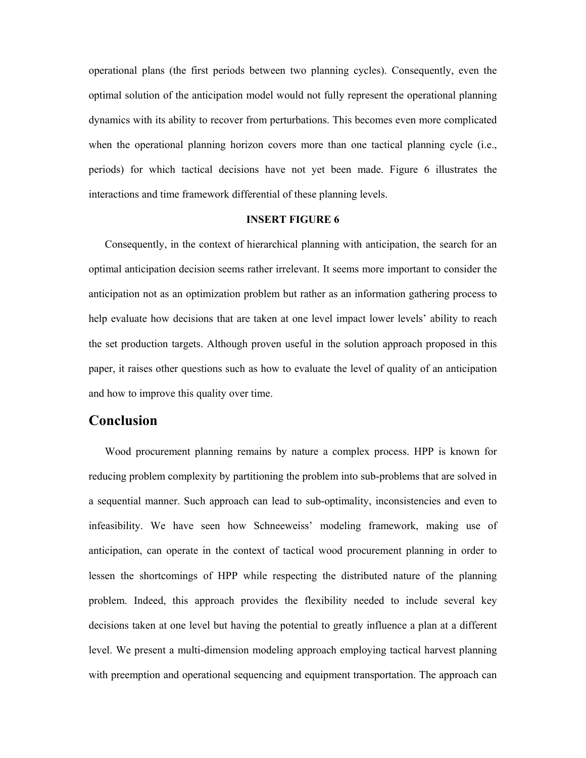operational plans (the first periods between two planning cycles). Consequently, even the optimal solution of the anticipation model would not fully represent the operational planning dynamics with its ability to recover from perturbations. This becomes even more complicated when the operational planning horizon covers more than one tactical planning cycle (i.e., periods) for which tactical decisions have not yet been made. Figure 6 illustrates the interactions and time framework differential of these planning levels.

#### **INSERT FIGURE 6**

Consequently, in the context of hierarchical planning with anticipation, the search for an optimal anticipation decision seems rather irrelevant. It seems more important to consider the anticipation not as an optimization problem but rather as an information gathering process to help evaluate how decisions that are taken at one level impact lower levels' ability to reach the set production targets. Although proven useful in the solution approach proposed in this paper, it raises other questions such as how to evaluate the level of quality of an anticipation and how to improve this quality over time.

### **Conclusion**

Wood procurement planning remains by nature a complex process. HPP is known for reducing problem complexity by partitioning the problem into sub-problems that are solved in a sequential manner. Such approach can lead to sub-optimality, inconsistencies and even to infeasibility. We have seen how Schneeweiss' modeling framework, making use of anticipation, can operate in the context of tactical wood procurement planning in order to lessen the shortcomings of HPP while respecting the distributed nature of the planning problem. Indeed, this approach provides the flexibility needed to include several key decisions taken at one level but having the potential to greatly influence a plan at a different level. We present a multi-dimension modeling approach employing tactical harvest planning with preemption and operational sequencing and equipment transportation. The approach can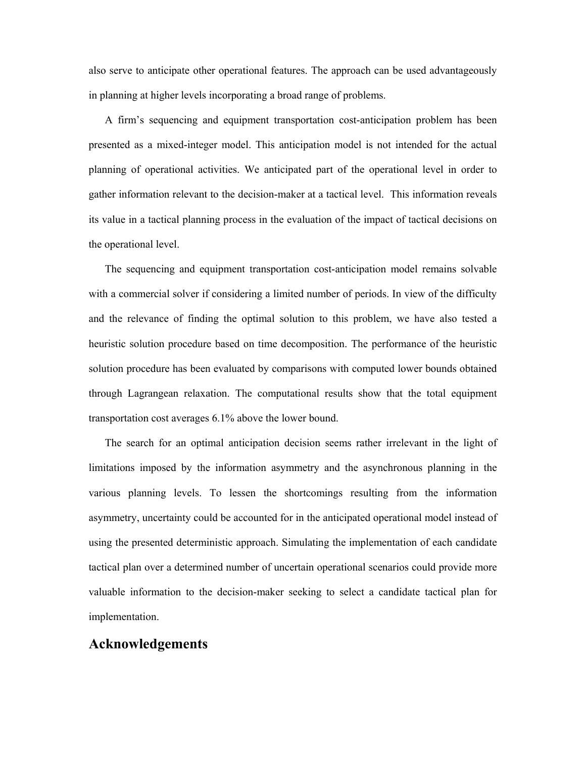also serve to anticipate other operational features. The approach can be used advantageously in planning at higher levels incorporating a broad range of problems.

A firm's sequencing and equipment transportation cost-anticipation problem has been presented as a mixed-integer model. This anticipation model is not intended for the actual planning of operational activities. We anticipated part of the operational level in order to gather information relevant to the decision-maker at a tactical level. This information reveals its value in a tactical planning process in the evaluation of the impact of tactical decisions on the operational level.

The sequencing and equipment transportation cost-anticipation model remains solvable with a commercial solver if considering a limited number of periods. In view of the difficulty and the relevance of finding the optimal solution to this problem, we have also tested a heuristic solution procedure based on time decomposition. The performance of the heuristic solution procedure has been evaluated by comparisons with computed lower bounds obtained through Lagrangean relaxation. The computational results show that the total equipment transportation cost averages 6.1% above the lower bound.

The search for an optimal anticipation decision seems rather irrelevant in the light of limitations imposed by the information asymmetry and the asynchronous planning in the various planning levels. To lessen the shortcomings resulting from the information asymmetry, uncertainty could be accounted for in the anticipated operational model instead of using the presented deterministic approach. Simulating the implementation of each candidate tactical plan over a determined number of uncertain operational scenarios could provide more valuable information to the decision-maker seeking to select a candidate tactical plan for implementation.

## **Acknowledgements**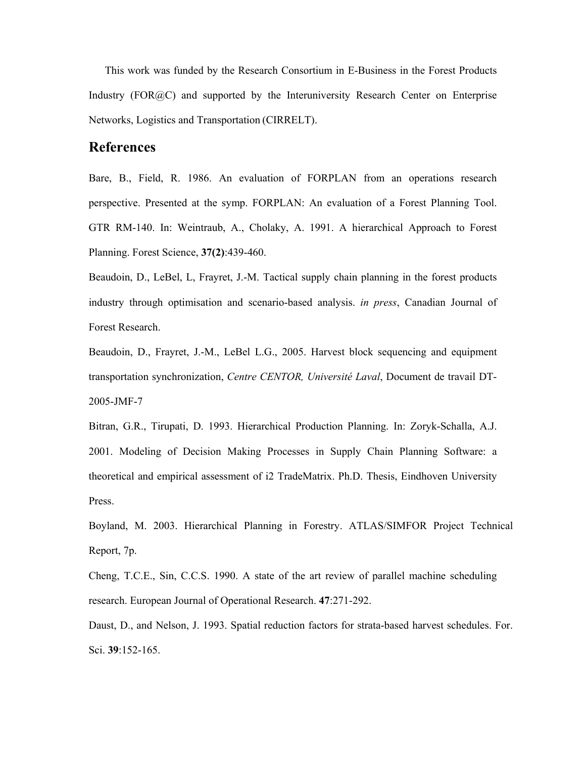This work was funded by the Research Consortium in E-Business in the Forest Products Industry (FOR@C) and supported by the Interuniversity Research Center on Enterprise Networks, Logistics and Transportation (CIRRELT).

## **References**

Bare, B., Field, R. 1986. An evaluation of FORPLAN from an operations research perspective. Presented at the symp. FORPLAN: An evaluation of a Forest Planning Tool. GTR RM-140. In: Weintraub, A., Cholaky, A. 1991. A hierarchical Approach to Forest Planning. Forest Science, **37(2)**:439-460.

Beaudoin, D., LeBel, L, Frayret, J.-M. Tactical supply chain planning in the forest products industry through optimisation and scenario-based analysis. *in press*, Canadian Journal of Forest Research.

Beaudoin, D., Frayret, J.-M., LeBel L.G., 2005. Harvest block sequencing and equipment transportation synchronization, *Centre CENTOR, Université Laval*, Document de travail DT-2005-JMF-7

Bitran, G.R., Tirupati, D. 1993. Hierarchical Production Planning. In: Zoryk-Schalla, A.J. 2001. Modeling of Decision Making Processes in Supply Chain Planning Software: a theoretical and empirical assessment of i2 TradeMatrix. Ph.D. Thesis, Eindhoven University Press.

Boyland, M. 2003. Hierarchical Planning in Forestry. ATLAS/SIMFOR Project Technical Report, 7p.

Cheng, T.C.E., Sin, C.C.S. 1990. A state of the art review of parallel machine scheduling research. European Journal of Operational Research. **47**:271-292.

Daust, D., and Nelson, J. 1993. Spatial reduction factors for strata-based harvest schedules. For. Sci. **39**:152-165.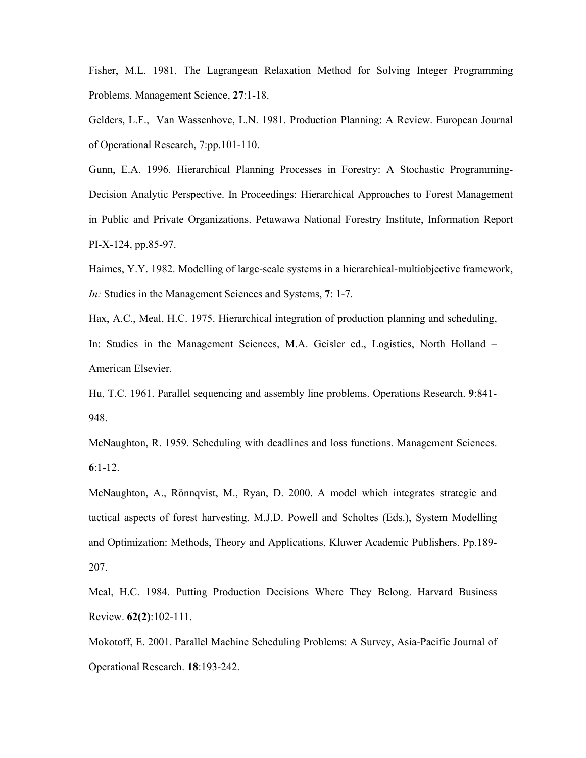Fisher, M.L. 1981. The Lagrangean Relaxation Method for Solving Integer Programming Problems. Management Science, **27**:1-18.

Gelders, L.F., Van Wassenhove, L.N. 1981. Production Planning: A Review. European Journal of Operational Research, 7:pp.101-110.

Gunn, E.A. 1996. Hierarchical Planning Processes in Forestry: A Stochastic Programming-Decision Analytic Perspective. In Proceedings: Hierarchical Approaches to Forest Management in Public and Private Organizations. Petawawa National Forestry Institute, Information Report PI-X-124, pp.85-97.

Haimes, Y.Y. 1982. Modelling of large-scale systems in a hierarchical-multiobjective framework, *In:* Studies in the Management Sciences and Systems, **7**: 1-7.

Hax, A.C., Meal, H.C. 1975. Hierarchical integration of production planning and scheduling,

In: Studies in the Management Sciences, M.A. Geisler ed., Logistics, North Holland – American Elsevier.

Hu, T.C. 1961. Parallel sequencing and assembly line problems. Operations Research. **9**:841- 948.

McNaughton, R. 1959. Scheduling with deadlines and loss functions. Management Sciences. **6**:1-12.

McNaughton, A., Rönnqvist, M., Ryan, D. 2000. A model which integrates strategic and tactical aspects of forest harvesting. M.J.D. Powell and Scholtes (Eds.), System Modelling and Optimization: Methods, Theory and Applications, Kluwer Academic Publishers. Pp.189- 207.

Meal, H.C. 1984. Putting Production Decisions Where They Belong. Harvard Business Review. **62(2)**:102-111.

Mokotoff, E. 2001. Parallel Machine Scheduling Problems: A Survey, Asia-Pacific Journal of Operational Research. **18**:193-242.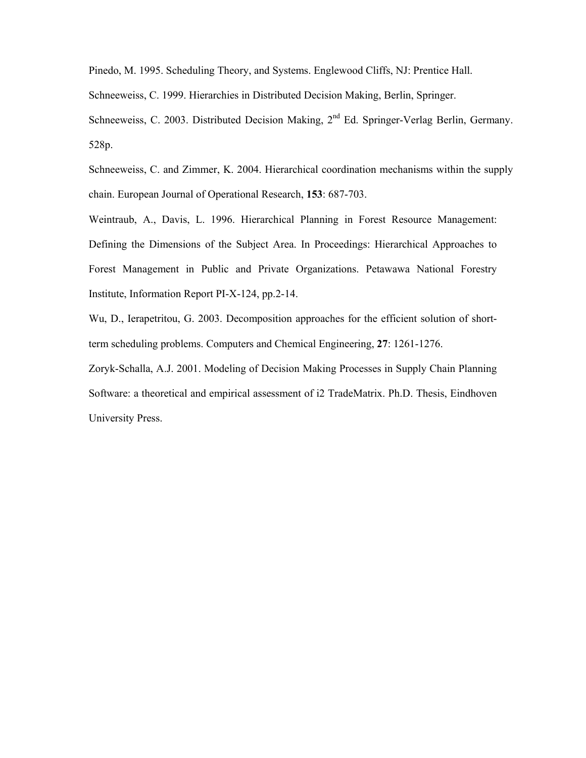Pinedo, M. 1995. Scheduling Theory, and Systems. Englewood Cliffs, NJ: Prentice Hall.

Schneeweiss, C. 1999. Hierarchies in Distributed Decision Making, Berlin, Springer.

Schneeweiss, C. 2003. Distributed Decision Making, 2<sup>nd</sup> Ed. Springer-Verlag Berlin, Germany. 528p.

Schneeweiss, C. and Zimmer, K. 2004. Hierarchical coordination mechanisms within the supply chain. European Journal of Operational Research, **153**: 687-703.

Weintraub, A., Davis, L. 1996. Hierarchical Planning in Forest Resource Management: Defining the Dimensions of the Subject Area. In Proceedings: Hierarchical Approaches to Forest Management in Public and Private Organizations. Petawawa National Forestry Institute, Information Report PI-X-124, pp.2-14.

Wu, D., Ierapetritou, G. 2003. Decomposition approaches for the efficient solution of shortterm scheduling problems. Computers and Chemical Engineering, **27**: 1261-1276.

Zoryk-Schalla, A.J. 2001. Modeling of Decision Making Processes in Supply Chain Planning Software: a theoretical and empirical assessment of i2 TradeMatrix. Ph.D. Thesis, Eindhoven University Press.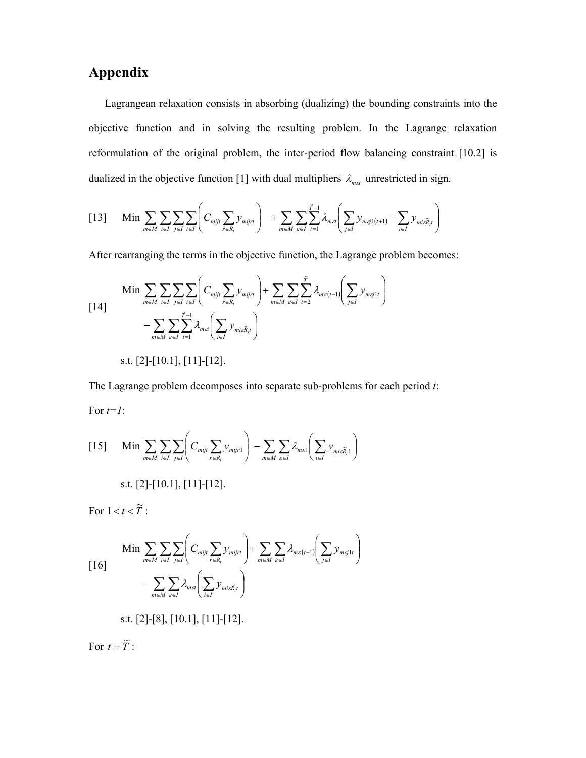## **Appendix**

Lagrangean relaxation consists in absorbing (dualizing) the bounding constraints into the objective function and in solving the resulting problem. In the Lagrange relaxation reformulation of the original problem, the inter-period flow balancing constraint [10.2] is dualized in the objective function [1] with dual multipliers  $\lambda_{ma}$  unrestricted in sign.

$$
[13] \quad \text{Min} \sum_{m \in M} \sum_{i \in I} \sum_{j \in I} \sum_{t \in T} \left( C_{mijt} \sum_{r \in R_i} y_{mijrt} \right) + \sum_{m \in M} \sum_{s \in I} \sum_{t=1}^{\widetilde{T}-1} \lambda_{mst} \left( \sum_{j \in I} y_{msj1(t+1)} - \sum_{i \in I} y_{mis\widetilde{R},t} \right)
$$

After rearranging the terms in the objective function, the Lagrange problem becomes:

$$
\begin{aligned}\n\text{Min} & \sum_{m \in M} \sum_{i \in I} \sum_{j \in I} \sum_{t \in T} \left( C_{mijt} \sum_{r \in R_t} y_{mijrt} \right) + \sum_{m \in M} \sum_{\varepsilon \in I} \sum_{t=2}^{\tilde{T}} \lambda_{m\varepsilon(t-1)} \left( \sum_{j \in I} y_{m\tilde{g}} \right) \\
& - \sum_{m \in M} \sum_{\varepsilon \in I} \sum_{t=1}^{\tilde{T}-1} \lambda_{m\varepsilon(t-1)} \left( \sum_{i \in I} y_{mi\tilde{\varepsilon} \tilde{R}_t} \right) \\
\text{s.t. } [2] - [10.1], [11] - [12].\n\end{aligned}
$$

The Lagrange problem decomposes into separate sub-problems for each period *t*: For *t=1*:

$$
[15] \quad \text{Min} \sum_{m \in M} \sum_{i \in I} \sum_{j \in I} \left( C_{mijt} \sum_{r \in R_i} y_{mijr1} \right) - \sum_{m \in M} \sum_{\varepsilon \in I} \lambda_{m\varepsilon 1} \left( \sum_{i \in I} y_{mi\varepsilon \widetilde{R}_i 1} \right)
$$
\n
$$
\text{s.t. } [2] - [10.1], [11] - [12].
$$

For  $1 < t < \widetilde{T}$ :

$$
\begin{aligned}\n\text{Min} & \sum_{m \in M} \sum_{i \in I} \sum_{j \in I} \left( C_{mijt} \sum_{r \in R_i} y_{mijrt} \right) + \sum_{m \in M} \sum_{\varepsilon \in I} \lambda_{m\varepsilon(t-1)} \left( \sum_{j \in I} y_{m\varsigma jtt} \right) \\
& - \sum_{m \in M} \sum_{\varepsilon \in I} \lambda_{m\varsigma t} \left( \sum_{i \in I} y_{mi\widetilde{R}_i t} \right)\n\end{aligned}
$$

s.t. [2]-[8], [10.1], [11]-[12].

For  $t = \widetilde{T}$ :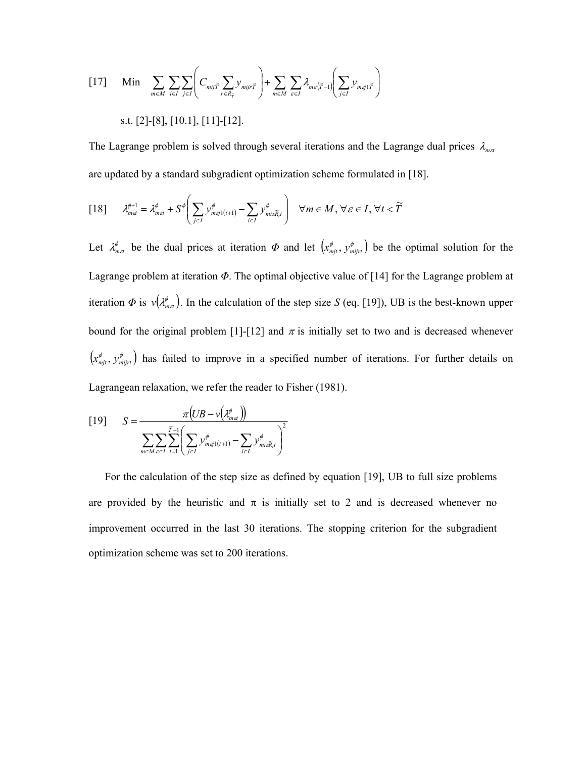$$
\begin{aligned}\n\text{[17]} \quad \text{Min} \quad & \sum_{m \in M} \sum_{i \in I} \sum_{j \in I} \left( C_{mij\widetilde{T}} \sum_{r \in R_{\widetilde{T}}} y_{mijr\widetilde{T}} \right) + \sum_{m \in M} \sum_{\varepsilon \in I} \lambda_{m\varepsilon(\widetilde{T}-1)} \left( \sum_{j \in I} y_{m\widetilde{T}} \right) \\
\text{s.t. [2] - [8], [10.1], [11] - [12].\n\end{aligned}
$$

The Lagrange problem is solved through several iterations and the Lagrange dual prices  $\lambda_{mct}$ are updated by a standard subgradient optimization scheme formulated in [18].

$$
[18] \qquad \lambda_{m\alpha}^{\phi+1} = \lambda_{m\alpha}^{\phi} + S^{\phi} \bigg( \sum_{j \in I} y_{m\varsigma j1(r+1)}^{\phi} - \sum_{i \in I} y_{m i \varsigma \widetilde{R}_{i} t}^{\phi} \bigg) \quad \forall m \in M, \forall \varepsilon \in I, \forall t < \widetilde{T}
$$

Let  $\lambda_{m\alpha}^{\phi}$  be the dual prices at iteration  $\Phi$  and let  $(x_{mjt}^{\phi}, y_{mijrt}^{\phi})$  be the optimal solution for the Lagrange problem at iteration *Φ*. The optimal objective value of [14] for the Lagrange problem at iteration  $\Phi$  is  $v(\lambda_{m\alpha}^{\phi})$ . In the calculation of the step size *S* (eq. [19]), UB is the best-known upper bound for the original problem [1]-[12] and  $\pi$  is initially set to two and is decreased whenever  $(x_{mji}^{\phi}, y_{mijrt}^{\phi})$  has failed to improve in a specified number of iterations. For further details on Lagrangean relaxation, we refer the reader to Fisher (1981).

$$
[19] \qquad S = \frac{\pi \big(UB - v\big(\mathcal{X}_{met}^{\phi}\big)\big)}{\sum_{m \in M} \sum_{\epsilon \in I} \sum_{t=1}^{\widetilde{T}-1} \bigg(\sum_{j \in I} y_{m(j1(t+1)}^{\phi} - \sum_{i \in I} y_{mi\epsilon \widetilde{R}_{i}t}^{\phi}\bigg)^2}
$$

For the calculation of the step size as defined by equation [19], UB to full size problems are provided by the heuristic and  $\pi$  is initially set to 2 and is decreased whenever no improvement occurred in the last 30 iterations. The stopping criterion for the subgradient optimization scheme was set to 200 iterations.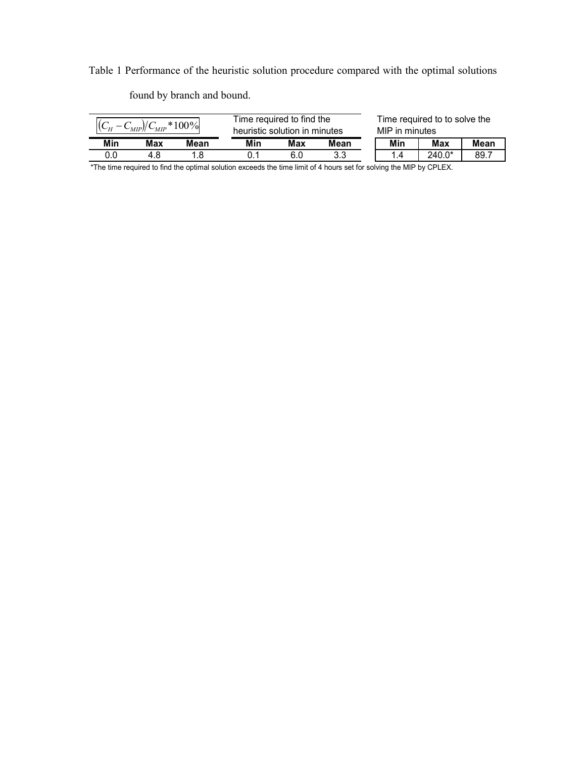Table 1 Performance of the heuristic solution procedure compared with the optimal solutions

**Min Max Mean Min Max Mean Min Max Mean** 0.0 4.8 1.8 0.1 6.0 3.3 1.4 240.0\* 89.7 Time required to find the  $\frac{(C_H - C_{MIP})/C_{MIP} * 100\%}{C_H - C_{MIP}}$  heuristic solution in minutes MIP in minutes Time required to to solve the MIP in minutes

found by branch and bound.

\*The time required to find the optimal solution exceeds the time limit of 4 hours set for solving the MIP by CPLEX.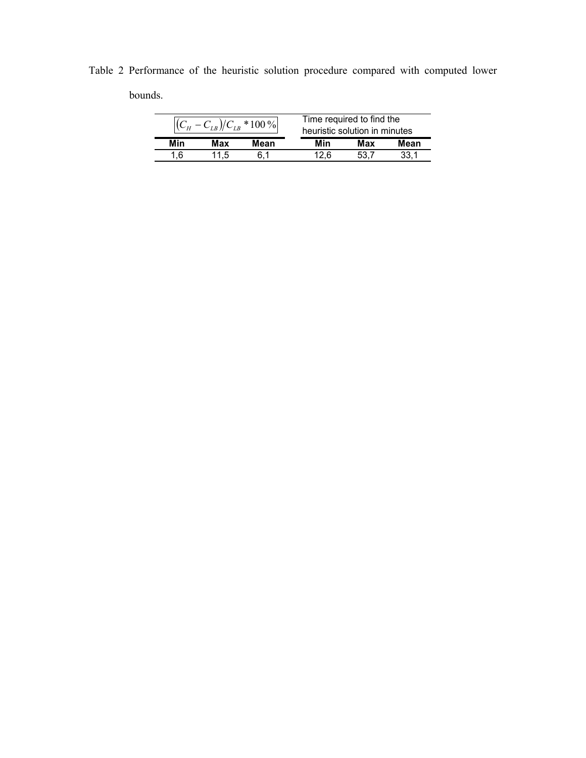Table 2 Performance of the heuristic solution procedure compared with computed lower bounds.

| $*100\%$ |            |      | Time required to find the<br>heuristic solution in minutes |     |      |
|----------|------------|------|------------------------------------------------------------|-----|------|
| Min      | <b>Max</b> | Mean | Min                                                        | Max | Mean |
|          | $\cdot$    |      |                                                            |     |      |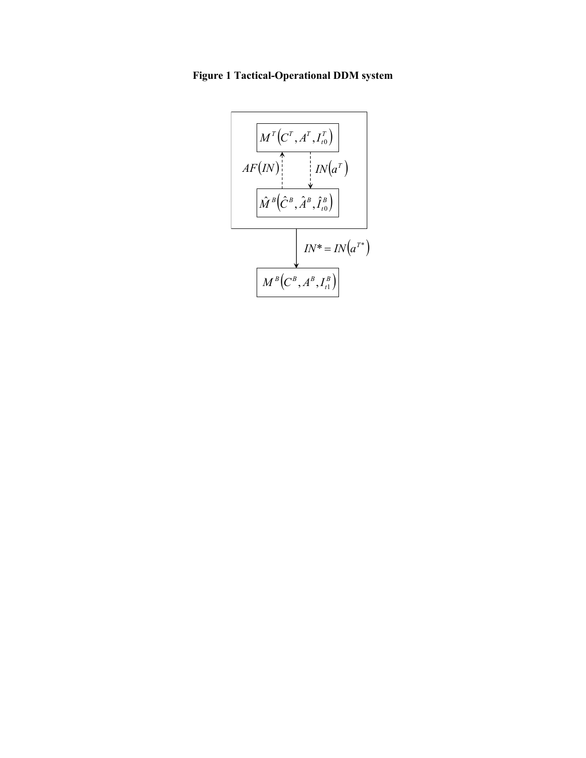**Figure 1 Tactical-Operational DDM system** 

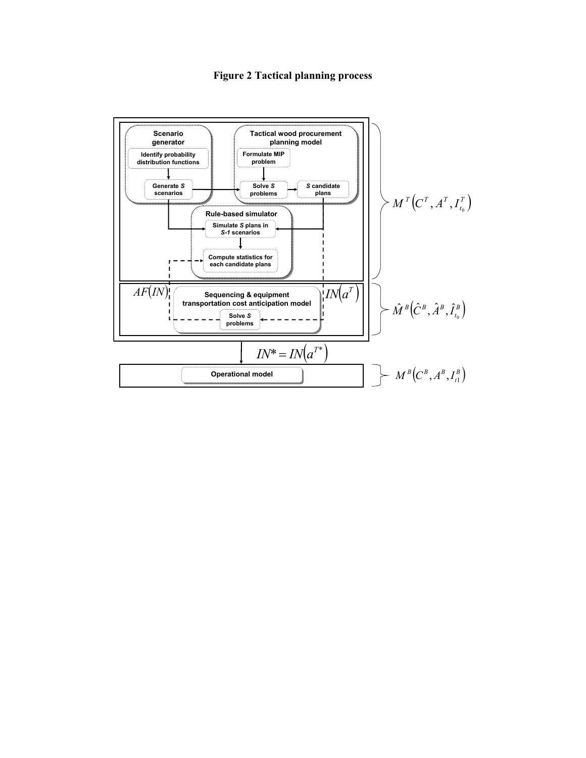## **Figure 2 Tactical planning process**

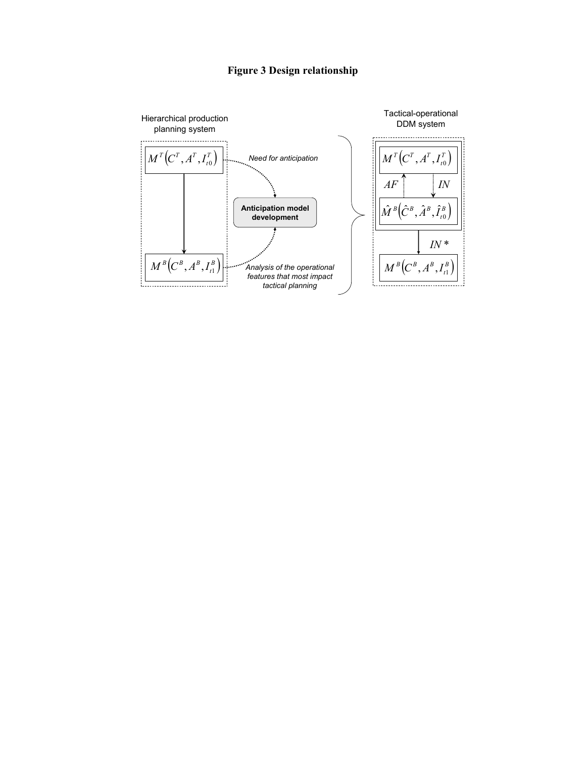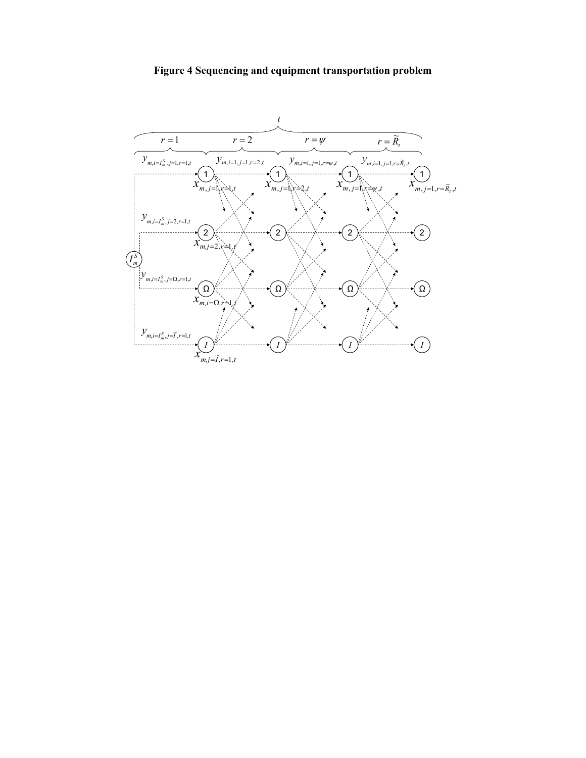## **Figure 4 Sequencing and equipment transportation problem**

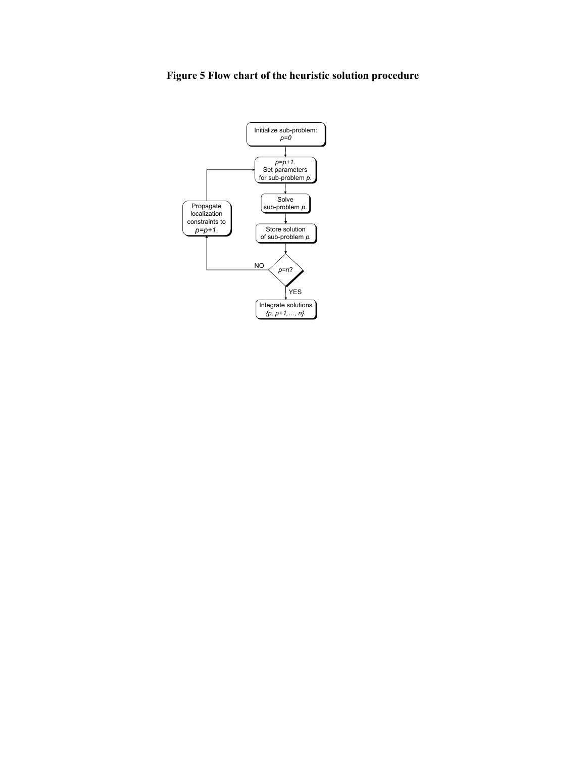## **Figure 5 Flow chart of the heuristic solution procedure**